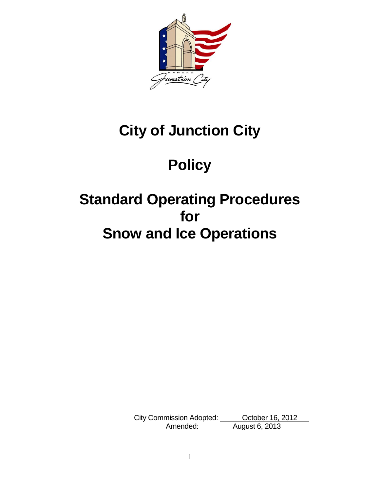

# **City of Junction City**

# **Policy**

# **Standard Operating Procedures for Snow and Ice Operations**

City Commission Adopted: <u>City Commission Adopted:</u> October 16, 2012 Amended: \_\_\_\_\_\_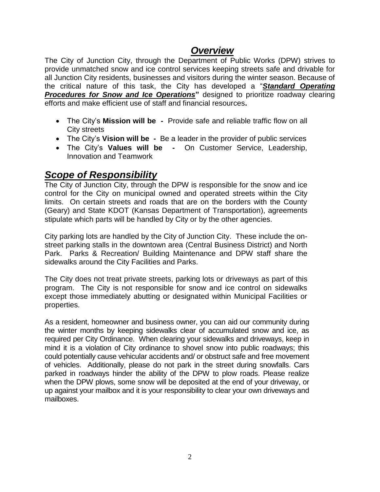## *Overview*

The City of Junction City, through the Department of Public Works (DPW) strives to provide unmatched snow and ice control services keeping streets safe and drivable for all Junction City residents, businesses and visitors during the winter season. Because of the critical nature of this task, the City has developed a "*Standard Operating*  **Procedures for Snow and Ice Operations**" designed to prioritize roadway clearing efforts and make efficient use of staff and financial resources**.**

- The City's **Mission will be -** Provide safe and reliable traffic flow on all City streets
- The City's **Vision will be -** Be a leader in the provider of public services
- The City's **Values will be -** On Customer Service, Leadership, Innovation and Teamwork

## *Scope of Responsibility*

The City of Junction City, through the DPW is responsible for the snow and ice control for the City on municipal owned and operated streets within the City limits. On certain streets and roads that are on the borders with the County (Geary) and State KDOT (Kansas Department of Transportation), agreements stipulate which parts will be handled by City or by the other agencies.

City parking lots are handled by the City of Junction City. These include the onstreet parking stalls in the downtown area (Central Business District) and North Park. Parks & Recreation/ Building Maintenance and DPW staff share the sidewalks around the City Facilities and Parks.

The City does not treat private streets, parking lots or driveways as part of this program. The City is not responsible for snow and ice control on sidewalks except those immediately abutting or designated within Municipal Facilities or properties.

As a resident, homeowner and business owner, you can aid our community during the winter months by keeping sidewalks clear of accumulated snow and ice, as required per City Ordinance. When clearing your sidewalks and driveways, keep in mind it is a violation of City ordinance to shovel snow into public roadways; this could potentially cause vehicular accidents and/ or obstruct safe and free movement of vehicles. Additionally, please do not park in the street during snowfalls. Cars parked in roadways hinder the ability of the DPW to plow roads. Please realize when the DPW plows, some snow will be deposited at the end of your driveway, or up against your mailbox and it is your responsibility to clear your own driveways and mailboxes.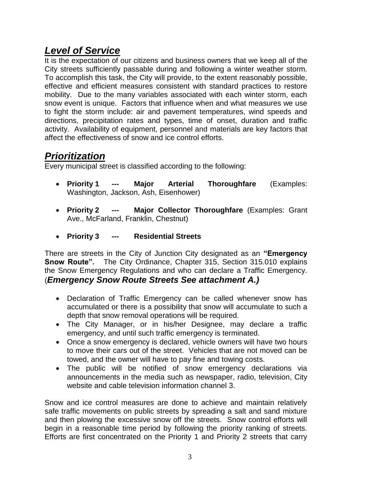## *Level of Service*

It is the expectation of our citizens and business owners that we keep all of the City streets sufficiently passable during and following a winter weather storm. To accomplish this task, the City will provide, to the extent reasonably possible, effective and efficient measures consistent with standard practices to restore mobility. Due to the many variables associated with each winter storm, each snow event is unique. Factors that influence when and what measures we use to fight the storm include: air and pavement temperatures, wind speeds and directions, precipitation rates and types, time of onset, duration and traffic activity. Availability of equipment, personnel and materials are key factors that affect the effectiveness of snow and ice control efforts.

# *Prioritization*

Every municipal street is classified according to the following:

- **Priority 1 --- Major Arterial Thoroughfare** (Examples: Washington, Jackson, Ash, Eisenhower)
- **Priority 2 --- Major Collector Thoroughfare** (Examples: Grant Ave., McFarland, Franklin, Chestnut)
- **Priority 3 --- Residential Streets**

There are streets in the City of Junction City designated as an **"Emergency Snow Route".** The City Ordinance, Chapter 315, Section 315.010 explains the Snow Emergency Regulations and who can declare a Traffic Emergency. (*Emergency Snow Route Streets See attachment A.)*

- Declaration of Traffic Emergency can be called whenever snow has accumulated or there is a possibility that snow will accumulate to such a depth that snow removal operations will be required.
- The City Manager, or in his/her Designee, may declare a traffic emergency, and until such traffic emergency is terminated.
- Once a snow emergency is declared, vehicle owners will have two hours to move their cars out of the street. Vehicles that are not moved can be towed, and the owner will have to pay fine and towing costs.
- The public will be notified of snow emergency declarations via announcements in the media such as newspaper, radio, television, City website and cable television information channel 3.

Snow and ice control measures are done to achieve and maintain relatively safe traffic movements on public streets by spreading a salt and sand mixture and then plowing the excessive snow off the streets. Snow control efforts will begin in a reasonable time period by following the priority ranking of streets. Efforts are first concentrated on the Priority 1 and Priority 2 streets that carry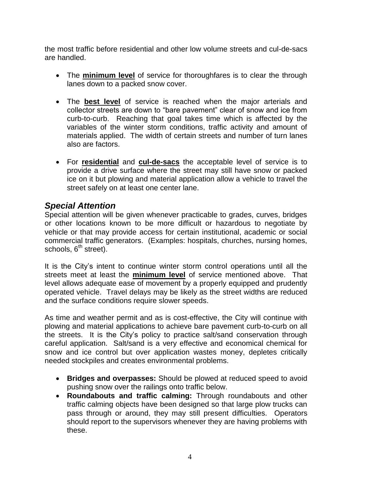the most traffic before residential and other low volume streets and cul-de-sacs are handled.

- The **minimum level** of service for thoroughfares is to clear the through lanes down to a packed snow cover.
- The **best level** of service is reached when the major arterials and collector streets are down to "bare pavement" clear of snow and ice from curb-to-curb. Reaching that goal takes time which is affected by the variables of the winter storm conditions, traffic activity and amount of materials applied. The width of certain streets and number of turn lanes also are factors.
- For **residential** and **cul-de-sacs** the acceptable level of service is to provide a drive surface where the street may still have snow or packed ice on it but plowing and material application allow a vehicle to travel the street safely on at least one center lane.

### *Special Attention*

Special attention will be given whenever practicable to grades, curves, bridges or other locations known to be more difficult or hazardous to negotiate by vehicle or that may provide access for certain institutional, academic or social commercial traffic generators. (Examples: hospitals, churches, nursing homes, schools,  $6<sup>th</sup>$  street).

It is the City's intent to continue winter storm control operations until all the streets meet at least the **minimum level** of service mentioned above. That level allows adequate ease of movement by a properly equipped and prudently operated vehicle. Travel delays may be likely as the street widths are reduced and the surface conditions require slower speeds.

As time and weather permit and as is cost-effective, the City will continue with plowing and material applications to achieve bare pavement curb-to-curb on all the streets. It is the City's policy to practice salt/sand conservation through careful application. Salt/sand is a very effective and economical chemical for snow and ice control but over application wastes money, depletes critically needed stockpiles and creates environmental problems.

- **Bridges and overpasses:** Should be plowed at reduced speed to avoid pushing snow over the railings onto traffic below.
- **Roundabouts and traffic calming:** Through roundabouts and other traffic calming objects have been designed so that large plow trucks can pass through or around, they may still present difficulties. Operators should report to the supervisors whenever they are having problems with these.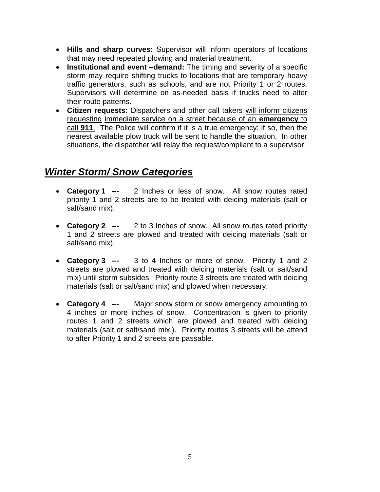- **Hills and sharp curves:** Supervisor will inform operators of locations that may need repeated plowing and material treatment.
- **Institutional and event –demand:** The timing and severity of a specific storm may require shifting trucks to locations that are temporary heavy traffic generators, such as schools, and are not Priority 1 or 2 routes. Supervisors will determine on as-needed basis if trucks need to alter their route patterns.
- **Citizen requests:** Dispatchers and other call takers will inform citizens requesting immediate service on a street because of an **emergency** to call **911**. The Police will confirm if it is a true emergency; if so, then the nearest available plow truck will be sent to handle the situation. In other situations, the dispatcher will relay the request/compliant to a supervisor.

# *Winter Storm/ Snow Categories*

- **Category 1 ---** 2 Inches or less of snow. All snow routes rated priority 1 and 2 streets are to be treated with deicing materials (salt or salt/sand mix).
- **Category 2 ---** 2 to 3 Inches of snow. All snow routes rated priority 1 and 2 streets are plowed and treated with deicing materials (salt or salt/sand mix).
- **Category 3 ---** 3 to 4 Inches or more of snow. Priority 1 and 2 streets are plowed and treated with deicing materials (salt or salt/sand mix) until storm subsides. Priority route 3 streets are treated with deicing materials (salt or salt/sand mix) and plowed when necessary.
- **Category 4 ---** Major snow storm or snow emergency amounting to 4 inches or more inches of snow. Concentration is given to priority routes 1 and 2 streets which are plowed and treated with deicing materials (salt or salt/sand mix.). Priority routes 3 streets will be attend to after Priority 1 and 2 streets are passable.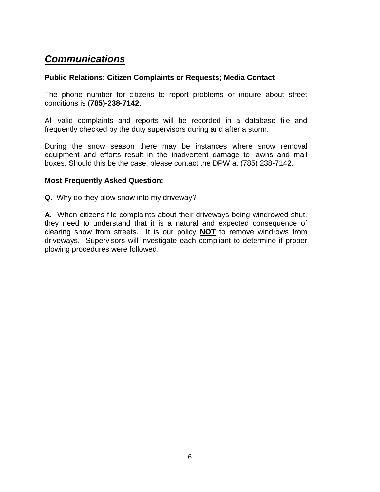# *Communications*

#### **Public Relations: Citizen Complaints or Requests; Media Contact**

The phone number for citizens to report problems or inquire about street conditions is (**785)-238-7142**.

All valid complaints and reports will be recorded in a database file and frequently checked by the duty supervisors during and after a storm.

During the snow season there may be instances where snow removal equipment and efforts result in the inadvertent damage to lawns and mail boxes. Should this be the case, please contact the DPW at (785) 238-7142.

#### **Most Frequently Asked Question:**

**Q.** Why do they plow snow into my driveway?

**A.** When citizens file complaints about their driveways being windrowed shut, they need to understand that it is a natural and expected consequence of clearing snow from streets. It is our policy **NOT** to remove windrows from driveways. Supervisors will investigate each compliant to determine if proper plowing procedures were followed.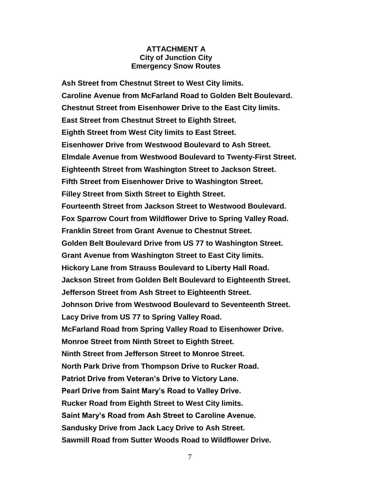#### **ATTACHMENT A City of Junction City Emergency Snow Routes**

**Ash Street from Chestnut Street to West City limits. Caroline Avenue from McFarland Road to Golden Belt Boulevard. Chestnut Street from Eisenhower Drive to the East City limits. East Street from Chestnut Street to Eighth Street. Eighth Street from West City limits to East Street. Eisenhower Drive from Westwood Boulevard to Ash Street. Elmdale Avenue from Westwood Boulevard to Twenty-First Street. Eighteenth Street from Washington Street to Jackson Street. Fifth Street from Eisenhower Drive to Washington Street. Filley Street from Sixth Street to Eighth Street. Fourteenth Street from Jackson Street to Westwood Boulevard. Fox Sparrow Court from Wildflower Drive to Spring Valley Road. Franklin Street from Grant Avenue to Chestnut Street. Golden Belt Boulevard Drive from US 77 to Washington Street. Grant Avenue from Washington Street to East City limits. Hickory Lane from Strauss Boulevard to Liberty Hall Road. Jackson Street from Golden Belt Boulevard to Eighteenth Street. Jefferson Street from Ash Street to Eighteenth Street. Johnson Drive from Westwood Boulevard to Seventeenth Street. Lacy Drive from US 77 to Spring Valley Road. McFarland Road from Spring Valley Road to Eisenhower Drive. Monroe Street from Ninth Street to Eighth Street. Ninth Street from Jefferson Street to Monroe Street. North Park Drive from Thompson Drive to Rucker Road. Patriot Drive from Veteran's Drive to Victory Lane. Pearl Drive from Saint Mary's Road to Valley Drive. Rucker Road from Eighth Street to West City limits. Saint Mary's Road from Ash Street to Caroline Avenue. Sandusky Drive from Jack Lacy Drive to Ash Street. Sawmill Road from Sutter Woods Road to Wildflower Drive.**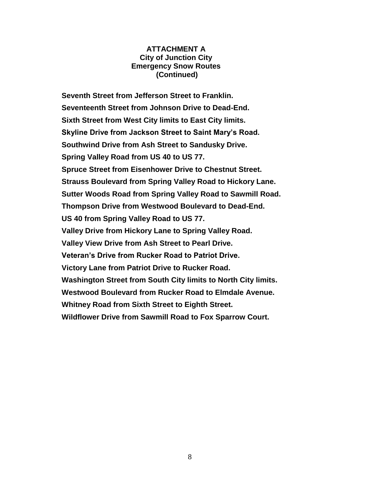#### **ATTACHMENT A City of Junction City Emergency Snow Routes (Continued)**

**Seventh Street from Jefferson Street to Franklin. Seventeenth Street from Johnson Drive to Dead-End. Sixth Street from West City limits to East City limits. Skyline Drive from Jackson Street to Saint Mary's Road. Southwind Drive from Ash Street to Sandusky Drive. Spring Valley Road from US 40 to US 77. Spruce Street from Eisenhower Drive to Chestnut Street. Strauss Boulevard from Spring Valley Road to Hickory Lane. Sutter Woods Road from Spring Valley Road to Sawmill Road. Thompson Drive from Westwood Boulevard to Dead-End. US 40 from Spring Valley Road to US 77. Valley Drive from Hickory Lane to Spring Valley Road. Valley View Drive from Ash Street to Pearl Drive. Veteran's Drive from Rucker Road to Patriot Drive. Victory Lane from Patriot Drive to Rucker Road. Washington Street from South City limits to North City limits. Westwood Boulevard from Rucker Road to Elmdale Avenue. Whitney Road from Sixth Street to Eighth Street. Wildflower Drive from Sawmill Road to Fox Sparrow Court.**